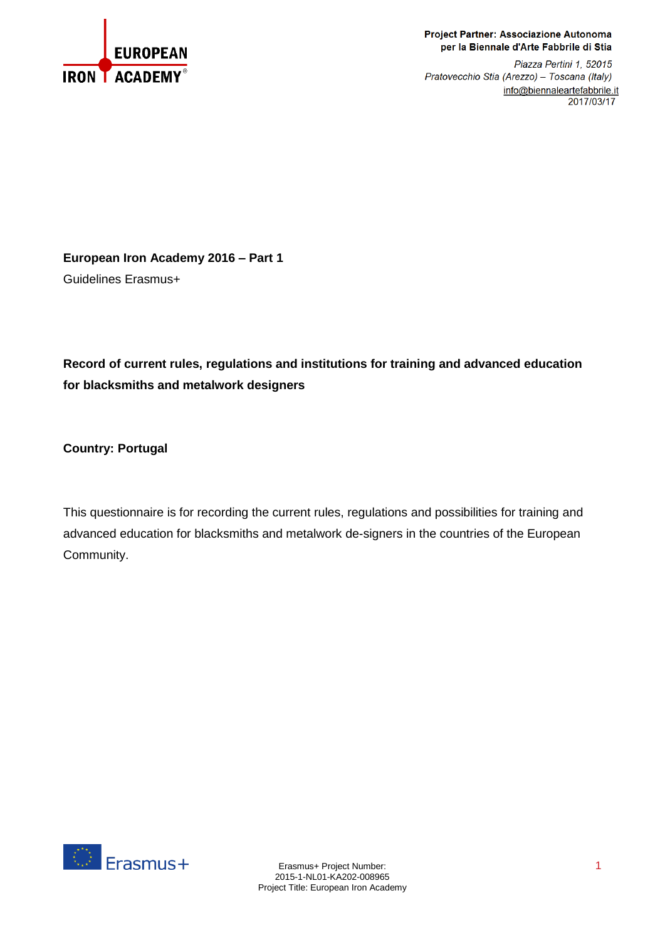

#### Project Partner: Associazione Autonoma per la Biennale d'Arte Fabbrile di Stia

Piazza Pertini 1, 52015 Pratovecchio Stia (Arezzo) - Toscana (Italy) info@biennaleartefabbrile.it 2017/03/17

**European Iron Academy 2016 – Part 1** Guidelines Erasmus+

# **Record of current rules, regulations and institutions for training and advanced education for blacksmiths and metalwork designers**

**Country: Portugal**

This questionnaire is for recording the current rules, regulations and possibilities for training and advanced education for blacksmiths and metalwork de-signers in the countries of the European Community.

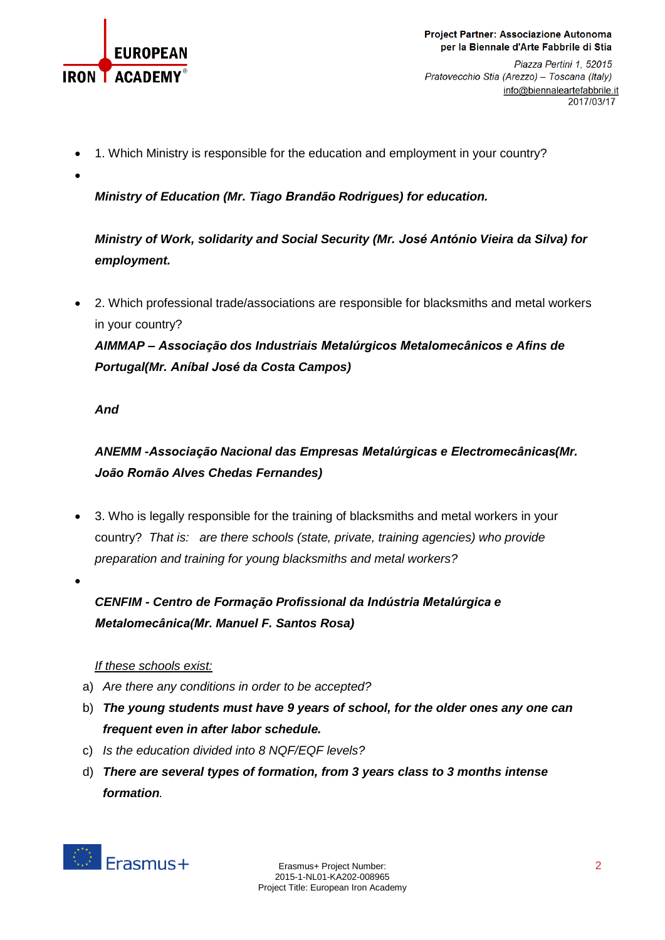

Project Partner: Associazione Autonoma per la Biennale d'Arte Fabbrile di Stia

Piazza Pertini 1, 52015 Pratovecchio Stia (Arezzo) - Toscana (Italy) info@biennaleartefabbrile.it 2017/03/17

- 1. Which Ministry is responsible for the education and employment in your country?
- $\bullet$

*Ministry of Education (Mr. Tiago Brandão Rodrigues) for education.*

*Ministry of Work, solidarity and Social Security (Mr. José António Vieira da Silva) for employment.*

 2. Which professional trade/associations are responsible for blacksmiths and metal workers in your country?

*AIMMAP – Associação dos Industriais Metalúrgicos Metalomecânicos e Afins de Portugal(Mr. Aníbal José da Costa Campos)*

### *And*

*ANEMM* **-***Associação Nacional das Empresas Metalúrgicas e Electromecânicas(Mr. João Romão Alves Chedas Fernandes)*

- 3. Who is legally responsible for the training of blacksmiths and metal workers in your country? *That is: are there schools (state, private, training agencies) who provide preparation and training for young blacksmiths and metal workers?*
- $\bullet$

*CENFIM - Centro de Formação Profissional da Indústria Metalúrgica e Metalomecânica(Mr. Manuel F. Santos Rosa)*

## *If these schools exist:*

- a) *Are there any conditions in order to be accepted?*
- b) *The young students must have 9 years of school, for the older ones any one can frequent even in after labor schedule.*
- c) *Is the education divided into 8 NQF/EQF levels?*
- d) *There are several types of formation, from 3 years class to 3 months intense formation.*